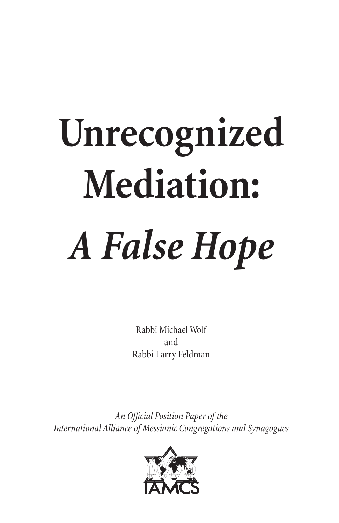# **Unrecognized Mediation:** *A False Hope*

Rabbi Michael Wolf and Rabbi Larry Feldman

*An Official Position Paper of the International Alliance of Messianic Congregations and Synagogues*

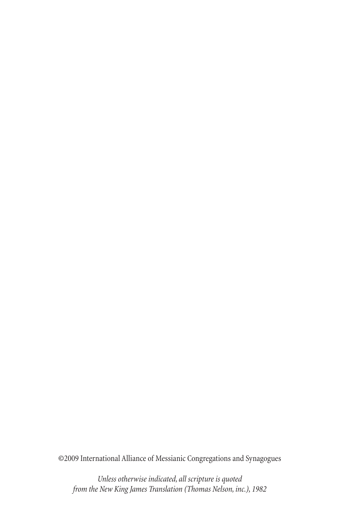©2009 International Alliance of Messianic Congregations and Synagogues

*Unless otherwise indicated, all scripture is quoted from the New King James Translation (Thomas Nelson, inc.), 1982*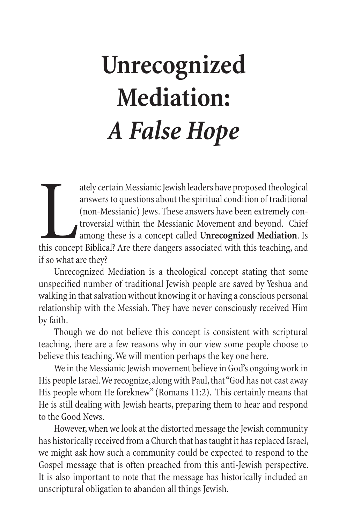# **Unrecognized Mediation:** *A False Hope*

ately certain Messianic Jewish leaders have proposed theological<br>answers to questions about the spiritual condition of traditional<br>(non-Messianic) Jews. These answers have been extremely con-<br>troversial within the Messiani ately certain Messianic Jewish leaders have proposed theological answers to questions about the spiritual condition of traditional (non-Messianic) Jews. These answers have been extremely controversial within the Messianic Movement and beyond. Chief among these is a concept called **Unrecognized Mediation**. Is if so what are they?

Unrecognized Mediation is a theological concept stating that some unspecified number of traditional Jewish people are saved by Yeshua and walking in that salvation without knowing it or having a conscious personal relationship with the Messiah. They have never consciously received Him by faith.

Though we do not believe this concept is consistent with scriptural teaching, there are a few reasons why in our view some people choose to believe this teaching. We will mention perhaps the key one here.

We in the Messianic Jewish movement believe in God's ongoing work in His people Israel. We recognize, along with Paul, that "God has not cast away His people whom He foreknew" (Romans 11:2). This certainly means that He is still dealing with Jewish hearts, preparing them to hear and respond to the Good News.

However, when we look at the distorted message the Jewish community has historically received from a Church that has taught it has replaced Israel, we might ask how such a community could be expected to respond to the Gospel message that is often preached from this anti-Jewish perspective. It is also important to note that the message has historically included an unscriptural obligation to abandon all things Jewish.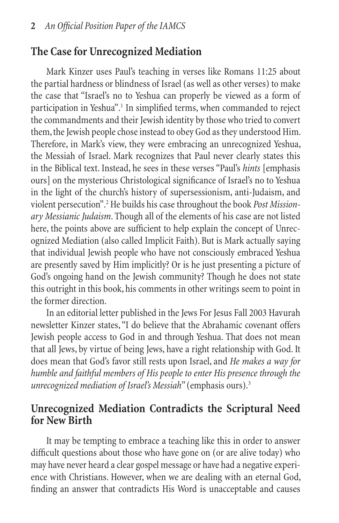# **The Case for Unrecognized Mediation**

Mark Kinzer uses Paul's teaching in verses like Romans 11:25 about the partial hardness or blindness of Israel (as well as other verses) to make the case that "Israel's no to Yeshua can properly be viewed as a form of participation in Yeshua".<sup>1</sup> In simplified terms, when commanded to reject the commandments and their Jewish identity by those who tried to convert them, the Jewish people chose instead to obey God as they understood Him. Therefore, in Mark's view, they were embracing an unrecognized Yeshua, the Messiah of Israel. Mark recognizes that Paul never clearly states this in the Biblical text. Instead, he sees in these verses "Paul's *hints* [emphasis ours] on the mysterious Christological significance of Israel's no to Yeshua in the light of the church's history of supersessionism, anti-Judaism, and violent persecution".<sup>2</sup> He builds his case throughout the book Post Mission*ary Messianic Judaism*. Though all of the elements of his case are not listed here, the points above are sufficient to help explain the concept of Unrecognized Mediation (also called Implicit Faith). But is Mark actually saying that individual Jewish people who have not consciously embraced Yeshua are presently saved by Him implicitly? Or is he just presenting a picture of God's ongoing hand on the Jewish community? Though he does not state this outright in this book, his comments in other writings seem to point in the former direction.

In an editorial letter published in the Jews For Jesus Fall 2003 Havurah newsletter Kinzer states, "I do believe that the Abrahamic covenant offers Jewish people access to God in and through Yeshua. That does not mean that all Jews, by virtue of being Jews, have a right relationship with God. It does mean that God's favor still rests upon Israel, and *He makes a way for humble and faithful members of His people to enter His presence through the unrecognized mediation of Israel's Messiah*" (emphasis ours).3

### **Unrecognized Mediation Contradicts the Scriptural Need for New Birth**

It may be tempting to embrace a teaching like this in order to answer difficult questions about those who have gone on (or are alive today) who may have never heard a clear gospel message or have had a negative experience with Christians. However, when we are dealing with an eternal God, finding an answer that contradicts His Word is unacceptable and causes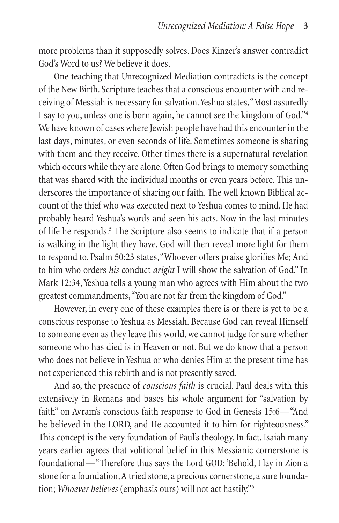more problems than it supposedly solves. Does Kinzer's answer contradict God's Word to us? We believe it does.

One teaching that Unrecognized Mediation contradicts is the concept of the New Birth. Scripture teaches that a conscious encounter with and receiving of Messiah is necessary for salvation. Yeshua states, "Most assuredly I say to you, unless one is born again, he cannot see the kingdom of God."4 We have known of cases where Jewish people have had this encounter in the last days, minutes, or even seconds of life. Sometimes someone is sharing with them and they receive. Other times there is a supernatural revelation which occurs while they are alone. Often God brings to memory something that was shared with the individual months or even years before. This underscores the importance of sharing our faith. The well known Biblical account of the thief who was executed next to Yeshua comes to mind. He had probably heard Yeshua's words and seen his acts. Now in the last minutes of life he responds.<sup>5</sup> The Scripture also seems to indicate that if a person is walking in the light they have, God will then reveal more light for them to respond to. Psalm 50:23 states, "Whoever offers praise glorifies Me; And to him who orders *his* conduct *aright* I will show the salvation of God." In Mark 12:34, Yeshua tells a young man who agrees with Him about the two greatest commandments, "You are not far from the kingdom of God."

However, in every one of these examples there is or there is yet to be a conscious response to Yeshua as Messiah. Because God can reveal Himself to someone even as they leave this world, we cannot judge for sure whether someone who has died is in Heaven or not. But we do know that a person who does not believe in Yeshua or who denies Him at the present time has not experienced this rebirth and is not presently saved.

And so, the presence of *conscious faith* is crucial. Paul deals with this extensively in Romans and bases his whole argument for "salvation by faith" on Avram's conscious faith response to God in Genesis 15:6—"And he believed in the LORD, and He accounted it to him for righteousness." This concept is the very foundation of Paul's theology. In fact, Isaiah many years earlier agrees that volitional belief in this Messianic cornerstone is foundational—"Therefore thus says the Lord GOD: 'Behold, I lay in Zion a stone for a foundation, A tried stone, a precious cornerstone, a sure foundation; *Whoever believes* (emphasis ours) will not act hastily."6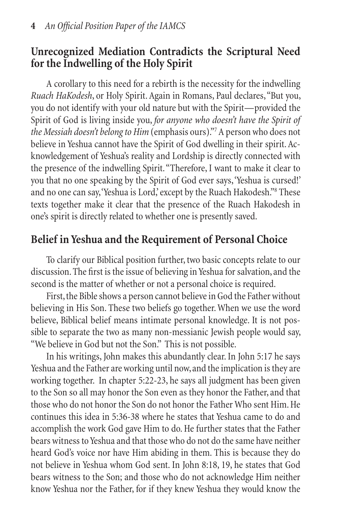# **Unrecognized Mediation Contradicts the Scriptural Need for the Indwelling of the Holy Spirit**

A corollary to this need for a rebirth is the necessity for the indwelling *Ruach HaKodesh*, or Holy Spirit. Again in Romans, Paul declares, "But you, you do not identify with your old nature but with the Spirit—provided the Spirit of God is living inside you, *for anyone who doesn't have the Spirit of*  the Messiah doesn't belong to Him (emphasis ours)."<sup>7</sup> A person who does not believe in Yeshua cannot have the Spirit of God dwelling in their spirit. Acknowledgement of Yeshua's reality and Lordship is directly connected with the presence of the indwelling Spirit. "Therefore, I want to make it clear to you that no one speaking by the Spirit of God ever says, 'Yeshua is cursed!' and no one can say, 'Yeshua is Lord,' except by the Ruach Hakodesh."8 These texts together make it clear that the presence of the Ruach Hakodesh in one's spirit is directly related to whether one is presently saved.

# **Belief in Yeshua and the Requirement of Personal Choice**

To clarify our Biblical position further, two basic concepts relate to our discussion. The first is the issue of believing in Yeshua for salvation, and the second is the matter of whether or not a personal choice is required.

First, the Bible shows a person cannot believe in God the Father without believing in His Son. These two beliefs go together. When we use the word believe, Biblical belief means intimate personal knowledge. It is not possible to separate the two as many non-messianic Jewish people would say, "We believe in God but not the Son." This is not possible.

In his writings, John makes this abundantly clear. In John 5:17 he says Yeshua and the Father are working until now, and the implication is they are working together. In chapter 5:22-23, he says all judgment has been given to the Son so all may honor the Son even as they honor the Father, and that those who do not honor the Son do not honor the Father Who sent Him. He continues this idea in 5:36-38 where he states that Yeshua came to do and accomplish the work God gave Him to do. He further states that the Father bears witness to Yeshua and that those who do not do the same have neither heard God's voice nor have Him abiding in them. This is because they do not believe in Yeshua whom God sent. In John 8:18, 19, he states that God bears witness to the Son; and those who do not acknowledge Him neither know Yeshua nor the Father, for if they knew Yeshua they would know the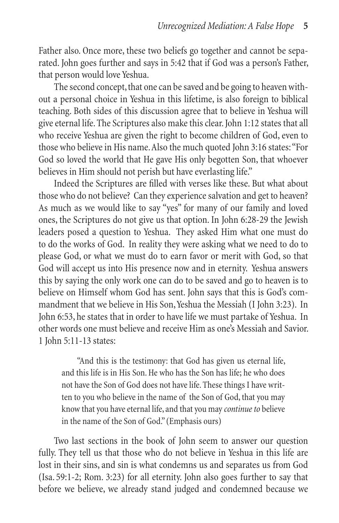Father also. Once more, these two beliefs go together and cannot be separated. John goes further and says in 5:42 that if God was a person's Father, that person would love Yeshua.

The second concept, that one can be saved and be going to heaven without a personal choice in Yeshua in this lifetime, is also foreign to biblical teaching. Both sides of this discussion agree that to believe in Yeshua will give eternal life. The Scriptures also make this clear. John 1:12 states that all who receive Yeshua are given the right to become children of God, even to those who believe in His name. Also the much quoted John 3:16 states: "For God so loved the world that He gave His only begotten Son, that whoever believes in Him should not perish but have everlasting life."

Indeed the Scriptures are filled with verses like these. But what about those who do not believe? Can they experience salvation and get to heaven? As much as we would like to say "yes" for many of our family and loved ones, the Scriptures do not give us that option. In John 6:28-29 the Jewish leaders posed a question to Yeshua. They asked Him what one must do to do the works of God. In reality they were asking what we need to do to please God, or what we must do to earn favor or merit with God, so that God will accept us into His presence now and in eternity. Yeshua answers this by saying the only work one can do to be saved and go to heaven is to believe on Himself whom God has sent. John says that this is God's commandment that we believe in His Son, Yeshua the Messiah (I John 3:23). In John 6:53, he states that in order to have life we must partake of Yeshua. In other words one must believe and receive Him as one's Messiah and Savior. 1 John 5:11-13 states:

"And this is the testimony: that God has given us eternal life, and this life is in His Son. He who has the Son has life; he who does not have the Son of God does not have life. These things I have written to you who believe in the name of the Son of God, that you may know that you have eternal life, and that you may *continue to* believe in the name of the Son of God." (Emphasis ours)

Two last sections in the book of John seem to answer our question fully. They tell us that those who do not believe in Yeshua in this life are lost in their sins, and sin is what condemns us and separates us from God (Isa. 59:1-2; Rom. 3:23) for all eternity. John also goes further to say that before we believe, we already stand judged and condemned because we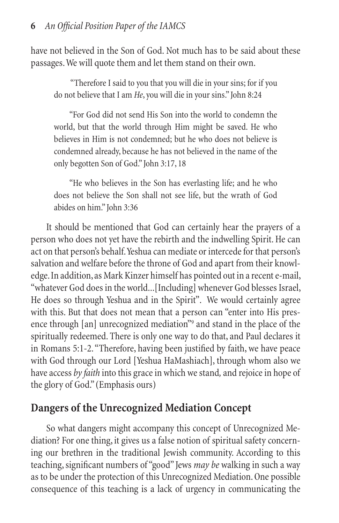have not believed in the Son of God. Not much has to be said about these passages. We will quote them and let them stand on their own.

 "Therefore I said to you that you will die in your sins; for if you do not believe that I am *He*, you will die in your sins." John 8:24

"For God did not send His Son into the world to condemn the world, but that the world through Him might be saved. He who believes in Him is not condemned; but he who does not believe is condemned already, because he has not believed in the name of the only begotten Son of God." John 3:17, 18

"He who believes in the Son has everlasting life; and he who does not believe the Son shall not see life, but the wrath of God abides on him." John 3:36

It should be mentioned that God can certainly hear the prayers of a person who does not yet have the rebirth and the indwelling Spirit. He can act on that person's behalf. Yeshua can mediate or intercede for that person's salvation and welfare before the throne of God and apart from their knowledge. In addition, as Mark Kinzer himself has pointed out in a recent e-mail, "whatever God does in the world...[Including] whenever God blesses Israel, He does so through Yeshua and in the Spirit". We would certainly agree with this. But that does not mean that a person can "enter into His presence through [an] unrecognized mediation<sup>"9</sup> and stand in the place of the spiritually redeemed. There is only one way to do that, and Paul declares it in Romans 5:1-2. "Therefore, having been justified by faith, we have peace with God through our Lord [Yeshua HaMashiach], through whom also we have access *by faith* into this grace in which we stand*,* and rejoice in hope of the glory of God." (Emphasis ours)

# **Dangers of the Unrecognized Mediation Concept**

So what dangers might accompany this concept of Unrecognized Mediation? For one thing, it gives us a false notion of spiritual safety concerning our brethren in the traditional Jewish community. According to this teaching, significant numbers of "good" Jews *may be* walking in such a way as to be under the protection of this Unrecognized Mediation. One possible consequence of this teaching is a lack of urgency in communicating the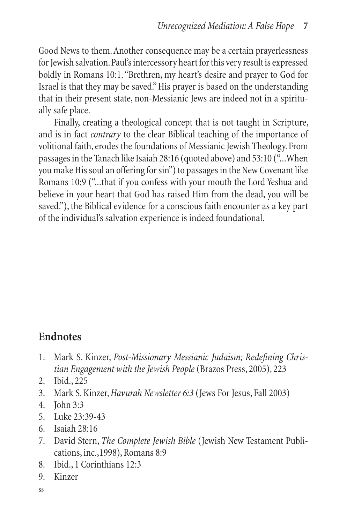Good News to them. Another consequence may be a certain prayerlessness for Jewish salvation. Paul's intercessory heart for this very result is expressed boldly in Romans 10:1. "Brethren, my heart's desire and prayer to God for Israel is that they may be saved." His prayer is based on the understanding that in their present state, non-Messianic Jews are indeed not in a spiritually safe place.

Finally, creating a theological concept that is not taught in Scripture, and is in fact *contrary* to the clear Biblical teaching of the importance of volitional faith, erodes the foundations of Messianic Jewish Theology. From passages in the Tanach like Isaiah 28:16 (quoted above) and 53:10 ("...When you make His soul an offering for sin") to passages in the New Covenant like Romans 10:9 ("...that if you confess with your mouth the Lord Yeshua and believe in your heart that God has raised Him from the dead, you will be saved."), the Biblical evidence for a conscious faith encounter as a key part of the individual's salvation experience is indeed foundational.

# **Endnotes**

- 1. Mark S. Kinzer, *Post-Missionary Messianic Judaism; Redefining Christian Engagement with the Jewish People* (Brazos Press, 2005), 223
- 2. Ibid., 225
- 3. Mark S. Kinzer, *Havurah Newsletter 6:3* (Jews For Jesus, Fall 2003)
- 4. John 3:3
- 5. Luke 23:39-43
- 6. Isaiah 28:16
- 7. David Stern, *The Complete Jewish Bible* (Jewish New Testament Publications, inc.,1998), Romans 8:9
- 8. Ibid., 1 Corinthians 12:3
- 9. Kinzer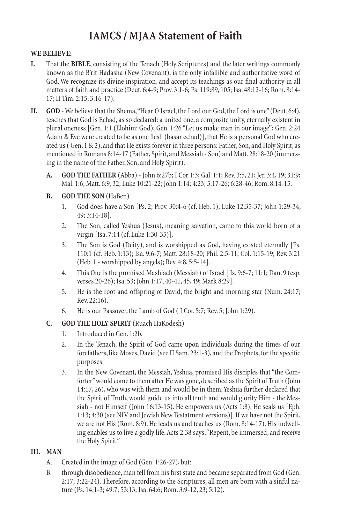# **IAMCS / MJAA Statement of Faith**

#### **WE BELIEVE:**

- That the **BIBLE**, consisting of the Tenach (Holy Scriptures) and the later writings commonly known as the B'rit Hadasha (New Covenant), is the only infallible and authoritative word of God. We recognize its divine inspiration, and accept its teachings as our final authority in all matters of faith and practice (Deut. 6:4-9; Prov. 3:1-6; Ps. 119:89, 105; Isa. 48:12-16; Rom. 8:14- 17; II Tim. 2:15, 3:16-17). **I.**
- **GOD** We believe that the Shema, "Hear O Israel, the Lord our God, the Lord is one" (Deut. 6:4), teaches that God is Echad, as so declared: a united one, a composite unity, eternally existent in plural oneness [Gen. 1:1 (Elohim: God); Gen. 1:26 "Let us make man in our image"; Gen. 2:24 Adam & Eve were created to be as one flesh (basar echad)], that He is a personal God who created us ( Gen. 1 & 2), and that He exists forever in three persons: Father, Son, and Holy Spirit, as mentioned in Romans 8:14-17 (Father, Spirit, and Messiah - Son) and Matt. 28:18-20 (immersing in the name of the Father, Son, and Holy Spirit). **II.**
	- **GOD THE FATHER** (Abba) John 6:27b; I Cor 1:3; Gal. 1:1; Rev. 3:5, 21; Jer. 3:4, 19; 31:9; Mal. 1:6; Matt. 6:9, 32; Luke 10:21-22; John 1:14; 4:23; 5:17-26; 6:28-46; Rom. 8:14-15. **A.**
	- **GOD THE SON** (HaBen) **B.**
		- God does have a Son [Ps. 2; Prov. 30:4-6 (cf. Heb. 1); Luke 12:35-37; John 1:29-34, 49; 3:14-18]. 1.
		- The Son, called Yeshua (Jesus), meaning salvation, came to this world born of a virgin [Isa. 7:14 (cf. Luke 1:30-35)]. 2.
		- The Son is God (Deity), and is worshipped as God, having existed eternally [Ps. 110:1 (cf. Heb. 1:13); Isa. 9:6-7; Matt. 28:18-20; Phil. 2:5-11; Col. 1:15-19; Rev. 3:21 (Heb. 1 - worshipped by angels); Rev. 4:8, 5:5-14]. 3.
		- This One is the promised Mashiach (Messiah) of Israel [ Is. 9:6-7; 11:1; Dan. 9 (esp. verses 20-26); Isa. 53; John 1:17, 40-41, 45, 49; Mark 8:29]. 4.
		- He is the root and offspring of David, the bright and morning star (Num. 24:17; Rev. 22:16). 5.
		- He is our Passover, the Lamb of God ( I Cor. 5:7; Rev. 5; John 1:29). 6.

#### **GOD THE HOLY SPIRIT** (Ruach HaKodesh) **C.**

- Introduced in Gen. 1:2b. 1.
- In the Tenach, the Spirit of God came upon individuals during the times of our forefathers, like Moses, David (see II Sam. 23:1-3), and the Prophets, for the specific purposes. 2.
- In the New Covenant, the Messiah, Yeshua, promised His disciples that "the Comforter" would come to them after He was gone, described as the Spirit of Truth (John 14:17, 26), who was with them and would be in them. Yeshua further declared that the Spirit of Truth, would guide us into all truth and would glorify Him - the Messiah - not Himself (John 16:13-15). He empowers us (Acts 1:8). He seals us [Eph. 1:13; 4:30 (see NIV and Jewish New Testatment versions)]. If we have not the Spirit, we are not His (Rom. 8:9). He leads us and teaches us (Rom. 8:14-17). His indwelling enables us to live a godly life. Acts 2:38 says, "Repent, be immersed, and receive the Holy Spirit." 3.

#### **MAN III.**

- Created in the image of God (Gen. 1:26-27), but: A.
- through disobedience, man fell from his first state and became separated from God (Gen. 2:17; 3:22-24). Therefore, according to the Scriptures, all men are born with a sinful nature (Ps. 14:1-3; 49:7; 53:13; Isa. 64:6; Rom. 3:9-12, 23; 5:12). B.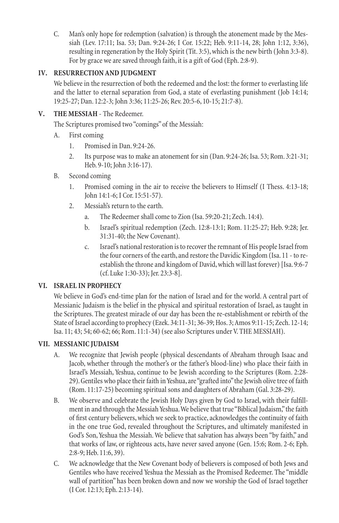Man's only hope for redemption (salvation) is through the atonement made by the Messiah (Lev. 17:11; Isa. 53; Dan. 9:24-26; I Cor. 15:22; Heb. 9:11-14, 28; John 1:12, 3:36), resulting in regeneration by the Holy Spirit (Tit. 3:5), which is the new birth (John 3:3-8). For by grace we are saved through faith, it is a gift of God (Eph. 2:8-9). C.

#### **RESURRECTION AND JUDGMENT IV.**

We believe in the resurrection of both the redeemed and the lost: the former to everlasting life and the latter to eternal separation from God, a state of everlasting punishment (Job 14:14; 19:25-27; Dan. 12:2-3; John 3:36; 11:25-26; Rev. 20:5-6, 10-15; 21:7-8).

#### **THE MESSIAH** - The Redeemer. **V.**

The Scriptures promised two "comings" of the Messiah:

- First coming A.
	- Promised in Dan. 9:24-26. 1.
	- Its purpose was to make an atonement for sin (Dan. 9:24-26; Isa. 53; Rom. 3:21-31; Heb. 9-10; John 3:16-17). 2.
- Second coming B.
	- Promised coming in the air to receive the believers to Himself (I Thess. 4:13-18; John 14:1-6; I Cor. 15:51-57). 1.
	- Messiah's return to the earth. 2.
		- The Redeemer shall come to Zion (Isa. 59:20-21; Zech. 14:4). a.
		- Israel's spiritual redemption (Zech. 12:8-13:1; Rom. 11:25-27; Heb. 9:28; Jer. 31:31-40; the New Covenant). b.
		- Israel's national restoration is to recover the remnant of His people Israel from the four corners of the earth, and restore the Davidic Kingdom (Isa. 11 - to reestablish the throne and kingdom of David, which will last forever) [Isa. 9:6-7 (cf. Luke 1:30-33); Jer. 23:3-8]. c.

#### **ISRAEL IN PROPHECY VI.**

We believe in God's end-time plan for the nation of Israel and for the world. A central part of Messianic Judaism is the belief in the physical and spiritual restoration of Israel, as taught in the Scriptures. The greatest miracle of our day has been the re-establishment or rebirth of the State of Israel according to prophecy (Ezek. 34:11-31; 36-39; Hos. 3; Amos 9:11-15; Zech. 12-14; Isa. 11; 43; 54; 60-62; 66; Rom. 11:1-34) (see also Scriptures under V. THE MESSIAH).

#### **MESSIANIC JUDAISM VII.**

- We recognize that Jewish people (physical descendants of Abraham through Isaac and Jacob, whether through the mother's or the father's blood-line) who place their faith in Israel's Messiah, Yeshua, continue to be Jewish according to the Scriptures (Rom. 2:28- 29). Gentiles who place their faith in Yeshua, are "grafted into" the Jewish olive tree of faith (Rom. 11:17-25) becoming spiritual sons and daughters of Abraham (Gal. 3:28-29). A.
- We observe and celebrate the Jewish Holy Days given by God to Israel, with their fulfillment in and through the Messiah Yeshua. We believe that true "Biblical Judaism," the faith of first century believers, which we seek to practice, acknowledges the continuity of faith in the one true God, revealed throughout the Scriptures, and ultimately manifested in God's Son, Yeshua the Messiah. We believe that salvation has always been "by faith," and that works of law, or righteous acts, have never saved anyone (Gen. 15:6; Rom. 2-6; Eph. 2:8-9; Heb. 11:6, 39). B.
- We acknowledge that the New Covenant body of believers is composed of both Jews and Gentiles who have received Yeshua the Messiah as the Promised Redeemer. The "middle wall of partition" has been broken down and now we worship the God of Israel together (I Cor. 12:13; Eph. 2:13-14). C.